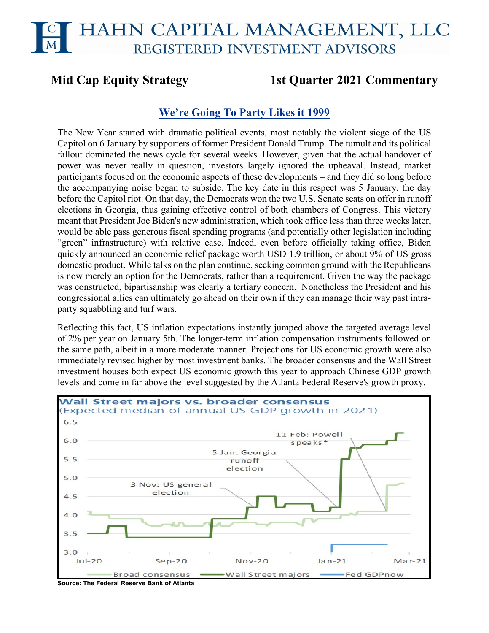# HAHN CAPITAL MANAGEMENT, LLC REGISTERED INVESTMENT ADVISORS

# **Mid Cap Equity Strategy 1st Quarter 2021 Commentary**

# **We're Going To Party Likes it 1999**

The New Year started with dramatic political events, most notably the violent siege of the US Capitol on 6 January by supporters of former President Donald Trump. The tumult and its political fallout dominated the news cycle for several weeks. However, given that the actual handover of power was never really in question, investors largely ignored the upheaval. Instead, market participants focused on the economic aspects of these developments – and they did so long before the accompanying noise began to subside. The key date in this respect was 5 January, the day before the Capitol riot. On that day, the Democrats won the two U.S. Senate seats on offer in runoff elections in Georgia, thus gaining effective control of both chambers of Congress. This victory meant that President Joe Biden's new administration, which took office less than three weeks later, would be able pass generous fiscal spending programs (and potentially other legislation including "green" infrastructure) with relative ease. Indeed, even before officially taking office, Biden quickly announced an economic relief package worth USD 1.9 trillion, or about 9% of US gross domestic product. While talks on the plan continue, seeking common ground with the Republicans is now merely an option for the Democrats, rather than a requirement. Given the way the package was constructed, bipartisanship was clearly a tertiary concern. Nonetheless the President and his congressional allies can ultimately go ahead on their own if they can manage their way past intraparty squabbling and turf wars.

Reflecting this fact, US inflation expectations instantly jumped above the targeted average level of 2% per year on January 5th. The longer-term inflation compensation instruments followed on the same path, albeit in a more moderate manner. Projections for US economic growth were also immediately revised higher by most investment banks. The broader consensus and the Wall Street investment houses both expect US economic growth this year to approach Chinese GDP growth levels and come in far above the level suggested by the Atlanta Federal Reserve's growth proxy.



**Source: The Federal Reserve Bank of Atlanta**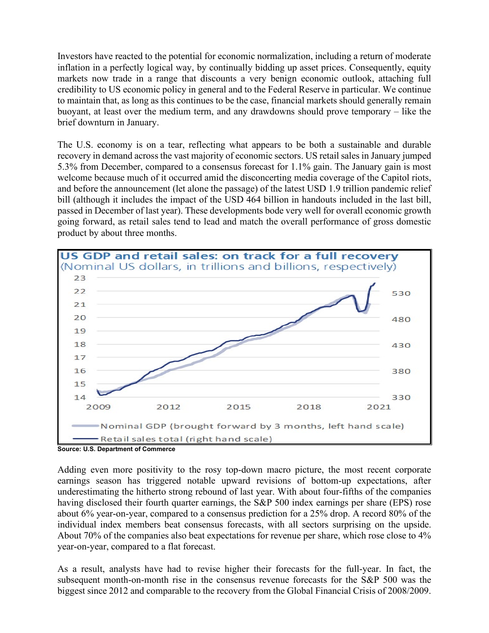Investors have reacted to the potential for economic normalization, including a return of moderate inflation in a perfectly logical way, by continually bidding up asset prices. Consequently, equity markets now trade in a range that discounts a very benign economic outlook, attaching full credibility to US economic policy in general and to the Federal Reserve in particular. We continue to maintain that, as long as this continues to be the case, financial markets should generally remain buoyant, at least over the medium term, and any drawdowns should prove temporary – like the brief downturn in January.

The U.S. economy is on a tear, reflecting what appears to be both a sustainable and durable recovery in demand across the vast majority of economic sectors. US retail sales in January jumped 5.3% from December, compared to a consensus forecast for 1.1% gain. The January gain is most welcome because much of it occurred amid the disconcerting media coverage of the Capitol riots, and before the announcement (let alone the passage) of the latest USD 1.9 trillion pandemic relief bill (although it includes the impact of the USD 464 billion in handouts included in the last bill, passed in December of last year). These developments bode very well for overall economic growth going forward, as retail sales tend to lead and match the overall performance of gross domestic product by about three months.



**Source: U.S. Department of Commerce**

Adding even more positivity to the rosy top-down macro picture, the most recent corporate earnings season has triggered notable upward revisions of bottom-up expectations, after underestimating the hitherto strong rebound of last year. With about four-fifths of the companies having disclosed their fourth quarter earnings, the S&P 500 index earnings per share (EPS) rose about 6% year-on-year, compared to a consensus prediction for a 25% drop. A record 80% of the individual index members beat consensus forecasts, with all sectors surprising on the upside. About 70% of the companies also beat expectations for revenue per share, which rose close to 4% year-on-year, compared to a flat forecast.

As a result, analysts have had to revise higher their forecasts for the full-year. In fact, the subsequent month-on-month rise in the consensus revenue forecasts for the S&P 500 was the biggest since 2012 and comparable to the recovery from the Global Financial Crisis of 2008/2009.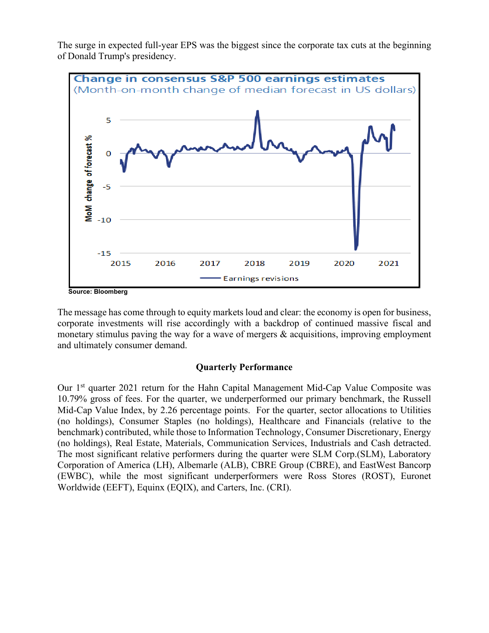



**Source: Bloomberg**

The message has come through to equity markets loud and clear: the economy is open for business, corporate investments will rise accordingly with a backdrop of continued massive fiscal and monetary stimulus paving the way for a wave of mergers & acquisitions, improving employment and ultimately consumer demand.

#### **Quarterly Performance**

Our 1<sup>st</sup> quarter 2021 return for the Hahn Capital Management Mid-Cap Value Composite was 10.79% gross of fees. For the quarter, we underperformed our primary benchmark, the Russell Mid-Cap Value Index, by 2.26 percentage points. For the quarter, sector allocations to Utilities (no holdings), Consumer Staples (no holdings), Healthcare and Financials (relative to the benchmark) contributed, while those to Information Technology, Consumer Discretionary, Energy (no holdings), Real Estate, Materials, Communication Services, Industrials and Cash detracted. The most significant relative performers during the quarter were SLM Corp.(SLM), Laboratory Corporation of America (LH), Albemarle (ALB), CBRE Group (CBRE), and EastWest Bancorp (EWBC), while the most significant underperformers were Ross Stores (ROST), Euronet Worldwide (EEFT), Equinx (EQIX), and Carters, Inc. (CRI).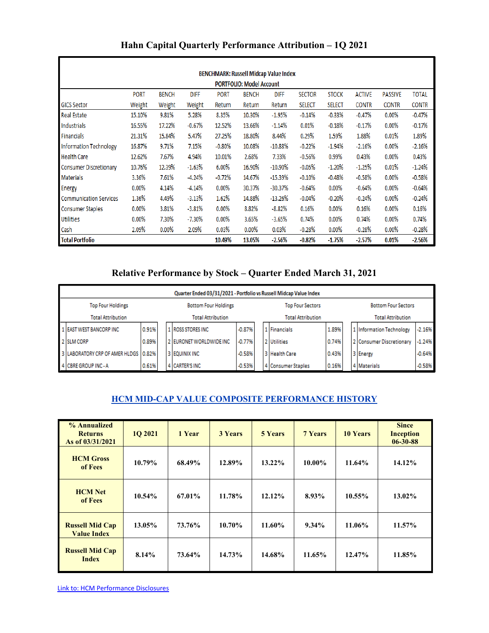| <b>BENCHMARK: Russell Midcap Value Index</b> |             |              |             |             |              |             |               |               |               |                |              |
|----------------------------------------------|-------------|--------------|-------------|-------------|--------------|-------------|---------------|---------------|---------------|----------------|--------------|
| <b>PORTFOLIO: Model Account</b>              |             |              |             |             |              |             |               |               |               |                |              |
|                                              | <b>PORT</b> | <b>BENCH</b> | <b>DIFF</b> | <b>PORT</b> | <b>BENCH</b> | <b>DIFF</b> | <b>SECTOR</b> | <b>STOCK</b>  | <b>ACTIVE</b> | <b>PASSIVE</b> | <b>TOTAL</b> |
| <b>GICS Sector</b>                           | Weight      | Weight       | Weight      | Return      | Return       | Return      | <b>SELECT</b> | <b>SELECT</b> | <b>CONTR</b>  | <b>CONTR</b>   | <b>CONTR</b> |
| <b>Real Estate</b>                           | 15.10%      | 9.81%        | 5.28%       | 8.35%       | 10.30%       | $-1.95%$    | $-0.14%$      | $-0.33%$      | $-0.47%$      | $0.00\%$       | $-0.47%$     |
| Industrials                                  | 16.55%      | 17.22%       | $-0.67%$    | 12.52%      | 13.66%       | $-1.14%$    | 0.01%         | $-0.18%$      | $-0.17%$      | $0.00\%$       | $-0.17%$     |
| <b>Financials</b>                            | 21.31%      | 15.84%       | 5.47%       | 27.25%      | 18.80%       | 8.44%       | 0.29%         | 1.59%         | 1.88%         | 0.01%          | 1.89%        |
| <b>Information Technology</b>                | 16.87%      | 9.71%        | 7.15%       | $-0.80%$    | 10.08%       | $-10.88%$   | $-0.22%$      | $-1.94%$      | $-2.16%$      | 0.00%          | $-2.16%$     |
| <b>Health Care</b>                           | 12.62%      | 7.67%        | 4.94%       | 10.01%      | 2.68%        | 7.33%       | $-0.56%$      | 0.99%         | 0.43%         | $0.00\%$       | 0.43%        |
| <b>Consumer Discretionary</b>                | 10.76%      | 12.39%       | $-1.63%$    | 6.00%       | 16.90%       | $-10.90\%$  | $-0.05%$      | $-1.20%$      | $-1.25%$      | 0.01%          | $-1.24%$     |
| <b>Materials</b>                             | 3.36%       | 7.61%        | $-4.24%$    | $-0.72%$    | 14.67%       | $-15.39%$   | $-0.10%$      | $-0.48%$      | $-0.58%$      | $0.00\%$       | $-0.58%$     |
| Energy                                       | $0.00\%$    | 4.14%        | $-4.14%$    | 0.00%       | 30.37%       | $-30.37%$   | $-0.64%$      | $0.00\%$      | $-0.64%$      | $0.00\%$       | $-0.64%$     |
| <b>Communication Services</b>                | 1.36%       | 4.49%        | $-3.13%$    | 1.62%       | 14.88%       | $-13.26%$   | $-0.04%$      | $-0.20%$      | $-0.24%$      | $0.00\%$       | $-0.24%$     |
| <b>Consumer Staples</b>                      | $0.00\%$    | 3.81%        | $-3.81%$    | 0.00%       | 8.82%        | $-8.82%$    | 0.16%         | $0.00\%$      | 0.16%         | $0.00\%$       | 0.16%        |
| <b>Utilities</b>                             | 0.00%       | 7.30%        | $-7.30\%$   | 0.00%       | 3.65%        | $-3.65%$    | 0.74%         | 0.00%         | 0.74%         | $0.00\%$       | 0.74%        |
| Cash                                         | 2.09%       | 0.00%        | 2.09%       | 0.03%       | 0.00%        | 0.03%       | $-0.28%$      | 0.00%         | $-0.28%$      | $0.00\%$       | $-0.28%$     |
| <b>Total Portfolio</b>                       |             |              |             | 10.49%      | 13.05%       | $-2.56%$    | $-0.82%$      | $-1.75%$      | -2.57%        | 0.01%          | -2.56%       |

## **Hahn Capital Quarterly Performance Attribution – 1Q 2021**

#### **Relative Performance by Stock – Quarter Ended March 31, 2021**

|                          | Quarter Ended 03/31/2021 - Portfolio vs Russell Midcap Value Index |       |  |                             |          |  |                          |                    |       |  |                            |          |  |
|--------------------------|--------------------------------------------------------------------|-------|--|-----------------------------|----------|--|--------------------------|--------------------|-------|--|----------------------------|----------|--|
| <b>Top Four Holdings</b> |                                                                    |       |  | <b>Bottom Four Holdings</b> |          |  | <b>Top Four Sectors</b>  |                    |       |  | <b>Bottom Four Sectors</b> |          |  |
| <b>Total Attribution</b> |                                                                    |       |  | <b>Total Attribution</b>    |          |  | <b>Total Attribution</b> |                    |       |  | <b>Total Attribution</b>   |          |  |
|                          | 1 EAST WEST BANCORP INC                                            | 0.91% |  | 1 ROSS STORES INC.          | $-0.87%$ |  |                          | 1 Financials       | 1.89% |  | 1 Information Technology   | $-2.16%$ |  |
|                          | 2 SLM CORP                                                         | 0.89% |  | 2 EURONET WORLDWIDE INC.    | $-0.77%$ |  |                          | 2 Utilities        | 0.74% |  | 2 Consumer Discretionary   | $-1.24%$ |  |
|                          | 3 LABORATORY CRP OF AMER HLDGS                                     | 0.82% |  | I 3 I EQUINIX INC           | $-0.58%$ |  |                          | 3 Health Care      | 0.43% |  | 3 Energy                   | $-0.64%$ |  |
|                          | 4 CBRE GROUP INC - A                                               | 0.61% |  | 4 CARTER'S INC              | $-0.53%$ |  |                          | 4 Consumer Staples | 0.16% |  | 4 Materials                | $-0.58%$ |  |

#### **HCM MID-CAP VALUE COMPOSITE PERFORMANCE HISTORY**

| % Annualized<br><b>Returns</b><br>As of 03/31/2021 | 1Q 2021   | 1 Year | <b>3 Years</b> | <b>5 Years</b> | <b>7 Years</b> | <b>10 Years</b> | <b>Since</b><br><b>Inception</b><br>$06 - 30 - 88$ |
|----------------------------------------------------|-----------|--------|----------------|----------------|----------------|-----------------|----------------------------------------------------|
| <b>HCM Gross</b><br>of Fees                        | 10.79%    | 68.49% | 12.89%         | $13.22\%$      | 10.00%         | 11.64%          | 14.12%                                             |
| <b>HCM Net</b><br>of Fees                          | 10.54%    | 67.01% | 11.78%         | 12.12%         | 8.93%          | 10.55%          | $13.02\%$                                          |
| <b>Russell Mid Cap</b><br><b>Value Index</b>       | $13.05\%$ | 73.76% | 10.70%         | 11.60%         | $9.34\%$       | 11.06%          | 11.57%                                             |
| <b>Russell Mid Cap</b><br><b>Index</b>             | 8.14%     | 73.64% | 14.73%         | 14.68%         | 11.65%         | 12.47%          | 11.85%                                             |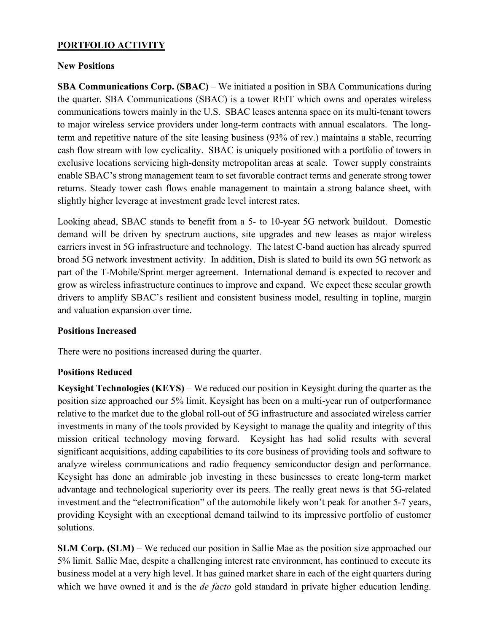### **PORTFOLIO ACTIVITY**

#### **New Positions**

**SBA Communications Corp. (SBAC)** – We initiated a position in SBA Communications during the quarter. SBA Communications (SBAC) is a tower REIT which owns and operates wireless communications towers mainly in the U.S. SBAC leases antenna space on its multi-tenant towers to major wireless service providers under long-term contracts with annual escalators. The longterm and repetitive nature of the site leasing business (93% of rev.) maintains a stable, recurring cash flow stream with low cyclicality. SBAC is uniquely positioned with a portfolio of towers in exclusive locations servicing high-density metropolitan areas at scale. Tower supply constraints enable SBAC's strong management team to set favorable contract terms and generate strong tower returns. Steady tower cash flows enable management to maintain a strong balance sheet, with slightly higher leverage at investment grade level interest rates.

Looking ahead, SBAC stands to benefit from a 5- to 10-year 5G network buildout. Domestic demand will be driven by spectrum auctions, site upgrades and new leases as major wireless carriers invest in 5G infrastructure and technology. The latest C-band auction has already spurred broad 5G network investment activity. In addition, Dish is slated to build its own 5G network as part of the T-Mobile/Sprint merger agreement. International demand is expected to recover and grow as wireless infrastructure continues to improve and expand. We expect these secular growth drivers to amplify SBAC's resilient and consistent business model, resulting in topline, margin and valuation expansion over time.

#### **Positions Increased**

There were no positions increased during the quarter.

#### **Positions Reduced**

**Keysight Technologies (KEYS)** – We reduced our position in Keysight during the quarter as the position size approached our 5% limit. Keysight has been on a multi-year run of outperformance relative to the market due to the global roll-out of 5G infrastructure and associated wireless carrier investments in many of the tools provided by Keysight to manage the quality and integrity of this mission critical technology moving forward. Keysight has had solid results with several significant acquisitions, adding capabilities to its core business of providing tools and software to analyze wireless communications and radio frequency semiconductor design and performance. Keysight has done an admirable job investing in these businesses to create long-term market advantage and technological superiority over its peers. The really great news is that 5G-related investment and the "electronification" of the automobile likely won't peak for another 5-7 years, providing Keysight with an exceptional demand tailwind to its impressive portfolio of customer solutions.

**SLM Corp. (SLM)** – We reduced our position in Sallie Mae as the position size approached our 5% limit. Sallie Mae, despite a challenging interest rate environment, has continued to execute its business model at a very high level. It has gained market share in each of the eight quarters during which we have owned it and is the *de facto* gold standard in private higher education lending.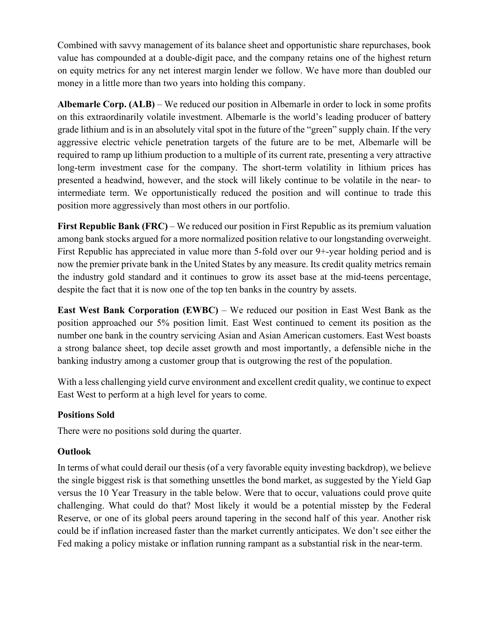Combined with savvy management of its balance sheet and opportunistic share repurchases, book value has compounded at a double-digit pace, and the company retains one of the highest return on equity metrics for any net interest margin lender we follow. We have more than doubled our money in a little more than two years into holding this company.

**Albemarle Corp. (ALB)** – We reduced our position in Albemarle in order to lock in some profits on this extraordinarily volatile investment. Albemarle is the world's leading producer of battery grade lithium and is in an absolutely vital spot in the future of the "green" supply chain. If the very aggressive electric vehicle penetration targets of the future are to be met, Albemarle will be required to ramp up lithium production to a multiple of its current rate, presenting a very attractive long-term investment case for the company. The short-term volatility in lithium prices has presented a headwind, however, and the stock will likely continue to be volatile in the near- to intermediate term. We opportunistically reduced the position and will continue to trade this position more aggressively than most others in our portfolio.

**First Republic Bank (FRC)** – We reduced our position in First Republic as its premium valuation among bank stocks argued for a more normalized position relative to our longstanding overweight. First Republic has appreciated in value more than 5-fold over our 9+-year holding period and is now the premier private bank in the United States by any measure. Its credit quality metrics remain the industry gold standard and it continues to grow its asset base at the mid-teens percentage, despite the fact that it is now one of the top ten banks in the country by assets.

**East West Bank Corporation (EWBC)** – We reduced our position in East West Bank as the position approached our 5% position limit. East West continued to cement its position as the number one bank in the country servicing Asian and Asian American customers. East West boasts a strong balance sheet, top decile asset growth and most importantly, a defensible niche in the banking industry among a customer group that is outgrowing the rest of the population.

With a less challenging yield curve environment and excellent credit quality, we continue to expect East West to perform at a high level for years to come.

#### **Positions Sold**

There were no positions sold during the quarter.

#### **Outlook**

In terms of what could derail our thesis (of a very favorable equity investing backdrop), we believe the single biggest risk is that something unsettles the bond market, as suggested by the Yield Gap versus the 10 Year Treasury in the table below. Were that to occur, valuations could prove quite challenging. What could do that? Most likely it would be a potential misstep by the Federal Reserve, or one of its global peers around tapering in the second half of this year. Another risk could be if inflation increased faster than the market currently anticipates. We don't see either the Fed making a policy mistake or inflation running rampant as a substantial risk in the near-term.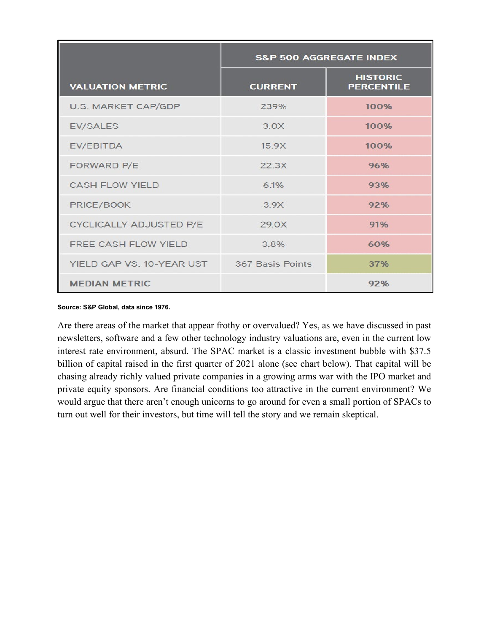|                                | <b>S&amp;P 500 AGGREGATE INDEX</b> |                                      |  |  |  |  |
|--------------------------------|------------------------------------|--------------------------------------|--|--|--|--|
| <b>VALUATION METRIC</b>        | <b>CURRENT</b>                     | <b>HISTORIC</b><br><b>PERCENTILE</b> |  |  |  |  |
| U.S. MARKET CAP/GDP            | 239%                               | 100%                                 |  |  |  |  |
| <b>EV/SALES</b>                | 3.0X                               | 100%                                 |  |  |  |  |
| EV/EBITDA                      | 15.9X                              | 100%                                 |  |  |  |  |
| FORWARD P/E                    | 22.3X                              | 96%                                  |  |  |  |  |
| <b>CASH FLOW YIELD</b>         | 6.1%                               | 93%                                  |  |  |  |  |
| PRICE/BOOK                     | 3 9 X                              | 92%                                  |  |  |  |  |
| <b>CYCLICALLY ADJUSTED P/E</b> | 29.0X                              | 91%                                  |  |  |  |  |
| FREE CASH FLOW YIELD           | 3.8%                               | 60%                                  |  |  |  |  |
| YIELD GAP VS. 10-YEAR UST      | 367 Basis Points                   | 37%                                  |  |  |  |  |
| <b>MEDIAN METRIC</b>           |                                    | 92%                                  |  |  |  |  |

**Source: S&P Global, data since 1976.**

Are there areas of the market that appear frothy or overvalued? Yes, as we have discussed in past newsletters, software and a few other technology industry valuations are, even in the current low interest rate environment, absurd. The SPAC market is a classic investment bubble with \$37.5 billion of capital raised in the first quarter of 2021 alone (see chart below). That capital will be chasing already richly valued private companies in a growing arms war with the IPO market and private equity sponsors. Are financial conditions too attractive in the current environment? We would argue that there aren't enough unicorns to go around for even a small portion of SPACs to turn out well for their investors, but time will tell the story and we remain skeptical.